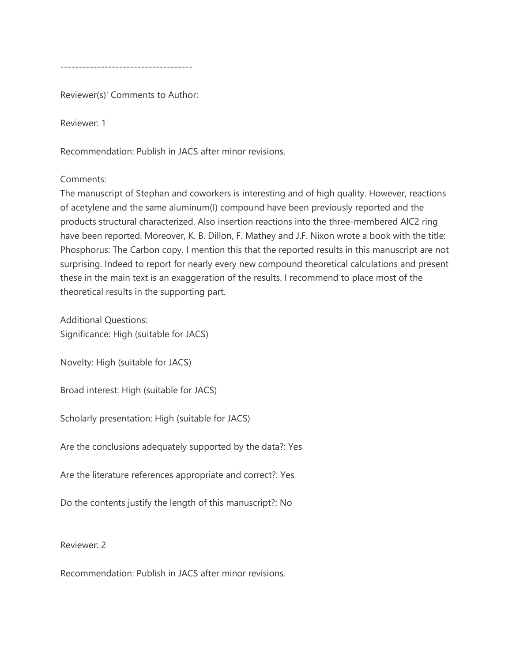------------------------------------

Reviewer(s)' Comments to Author:

Reviewer: 1

Recommendation: Publish in JACS after minor revisions.

## Comments:

The manuscript of Stephan and coworkers is interesting and of high quality. However, reactions of acetylene and the same aluminum(I) compound have been previously reported and the products structural characterized. Also insertion reactions into the three-membered AlC2 ring have been reported. Moreover, K. B. Dillon, F. Mathey and J.F. Nixon wrote a book with the title: Phosphorus: The Carbon copy. I mention this that the reported results in this manuscript are not surprising. Indeed to report for nearly every new compound theoretical calculations and present these in the main text is an exaggeration of the results. I recommend to place most of the theoretical results in the supporting part.

Additional Questions: Significance: High (suitable for JACS)

Novelty: High (suitable for JACS)

Broad interest: High (suitable for JACS)

Scholarly presentation: High (suitable for JACS)

Are the conclusions adequately supported by the data?: Yes

Are the literature references appropriate and correct?: Yes

Do the contents justify the length of this manuscript?: No

Reviewer: 2

Recommendation: Publish in JACS after minor revisions.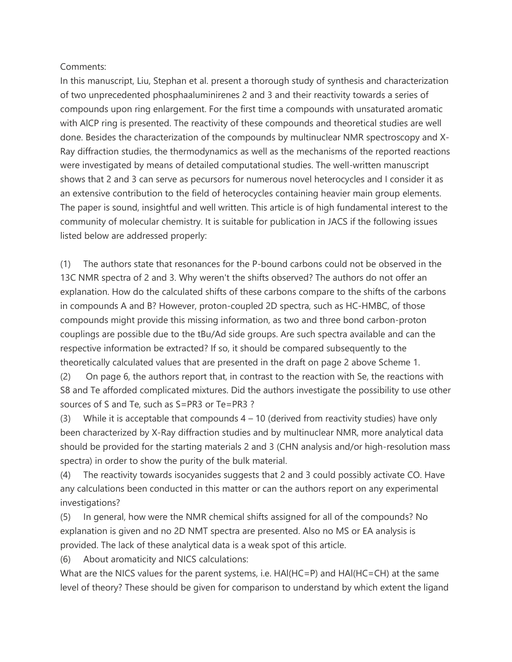## Comments:

In this manuscript, Liu, Stephan et al. present a thorough study of synthesis and characterization of two unprecedented phosphaaluminirenes 2 and 3 and their reactivity towards a series of compounds upon ring enlargement. For the first time a compounds with unsaturated aromatic with AlCP ring is presented. The reactivity of these compounds and theoretical studies are well done. Besides the characterization of the compounds by multinuclear NMR spectroscopy and X-Ray diffraction studies, the thermodynamics as well as the mechanisms of the reported reactions were investigated by means of detailed computational studies. The well-written manuscript shows that 2 and 3 can serve as pecursors for numerous novel heterocycles and I consider it as an extensive contribution to the field of heterocycles containing heavier main group elements. The paper is sound, insightful and well written. This article is of high fundamental interest to the community of molecular chemistry. It is suitable for publication in JACS if the following issues listed below are addressed properly:

(1) The authors state that resonances for the P-bound carbons could not be observed in the 13C NMR spectra of 2 and 3. Why weren't the shifts observed? The authors do not offer an explanation. How do the calculated shifts of these carbons compare to the shifts of the carbons in compounds A and B? However, proton-coupled 2D spectra, such as HC-HMBC, of those compounds might provide this missing information, as two and three bond carbon-proton couplings are possible due to the tBu/Ad side groups. Are such spectra available and can the respective information be extracted? If so, it should be compared subsequently to the theoretically calculated values that are presented in the draft on page 2 above Scheme 1.

(2) On page 6, the authors report that, in contrast to the reaction with Se, the reactions with S8 and Te afforded complicated mixtures. Did the authors investigate the possibility to use other sources of S and Te, such as S=PR3 or Te=PR3 ?

(3) While it is acceptable that compounds  $4 - 10$  (derived from reactivity studies) have only been characterized by X-Ray diffraction studies and by multinuclear NMR, more analytical data should be provided for the starting materials 2 and 3 (CHN analysis and/or high-resolution mass spectra) in order to show the purity of the bulk material.

(4) The reactivity towards isocyanides suggests that 2 and 3 could possibly activate CO. Have any calculations been conducted in this matter or can the authors report on any experimental investigations?

(5) In general, how were the NMR chemical shifts assigned for all of the compounds? No explanation is given and no 2D NMT spectra are presented. Also no MS or EA analysis is provided. The lack of these analytical data is a weak spot of this article.

(6) About aromaticity and NICS calculations:

What are the NICS values for the parent systems, i.e. HAl(HC=P) and HAl(HC=CH) at the same level of theory? These should be given for comparison to understand by which extent the ligand